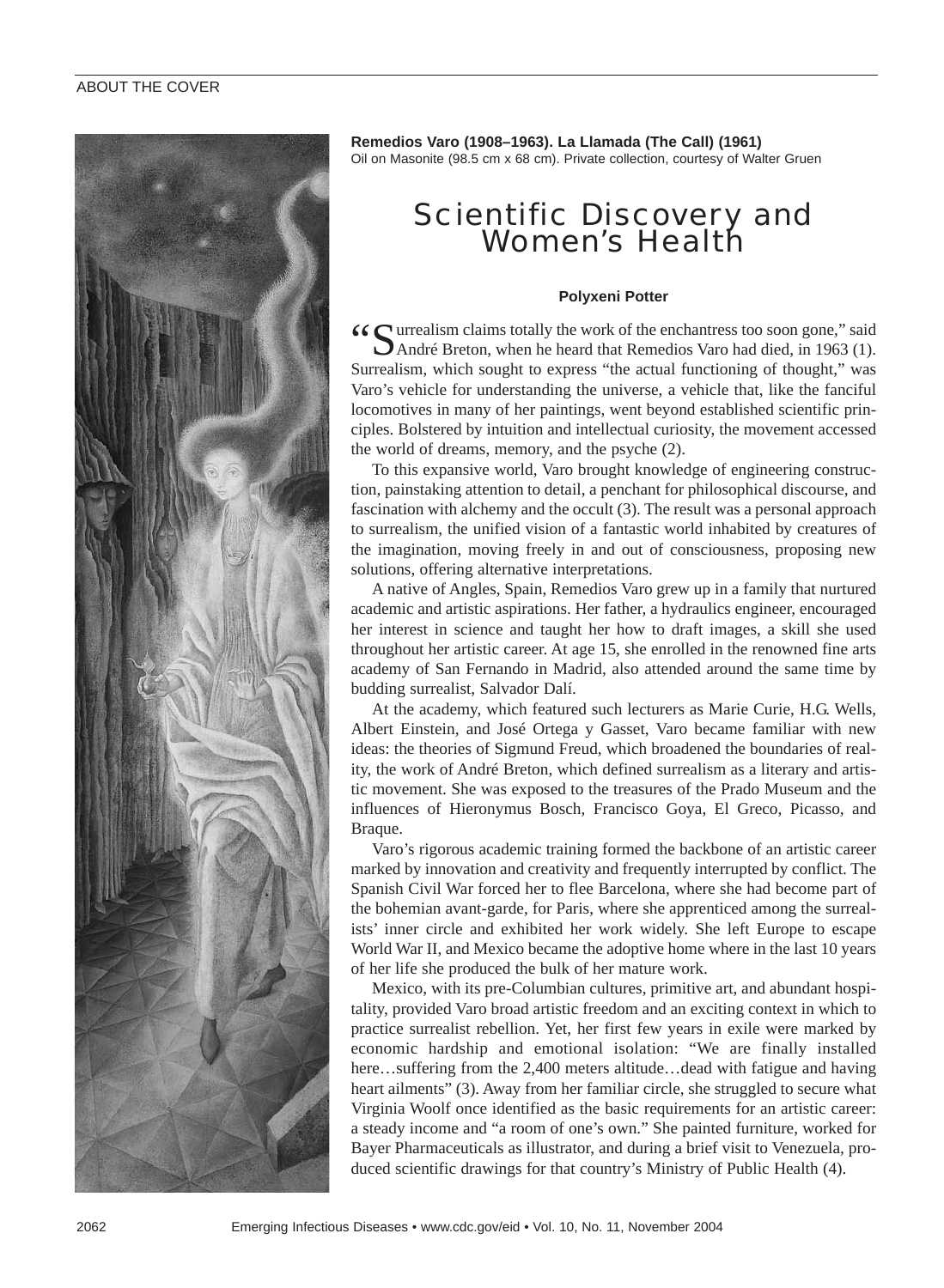## ABOUT THE COVER



**Remedios Varo (1908–1963). La Llamada (The Call) (1961)** Oil on Masonite (98.5 cm x 68 cm). Private collection, courtesy of Walter Gruen

## Scientific Discovery and Women's Health

## **Polyxeni Potter**

"Surrealism claims totally the work of the enchantress too soon gone," said André Breton, when he heard that Remedios Varo had died, in 1963 (1). Surrealism, which sought to express "the actual functioning of thought," was Varo's vehicle for understanding the universe, a vehicle that, like the fanciful locomotives in many of her paintings, went beyond established scientific principles. Bolstered by intuition and intellectual curiosity, the movement accessed the world of dreams, memory, and the psyche (2).

To this expansive world, Varo brought knowledge of engineering construction, painstaking attention to detail, a penchant for philosophical discourse, and fascination with alchemy and the occult (3). The result was a personal approach to surrealism, the unified vision of a fantastic world inhabited by creatures of the imagination, moving freely in and out of consciousness, proposing new solutions, offering alternative interpretations.

A native of Angles, Spain, Remedios Varo grew up in a family that nurtured academic and artistic aspirations. Her father, a hydraulics engineer, encouraged her interest in science and taught her how to draft images, a skill she used throughout her artistic career. At age 15, she enrolled in the renowned fine arts academy of San Fernando in Madrid, also attended around the same time by budding surrealist, Salvador Dalí.

At the academy, which featured such lecturers as Marie Curie, H.G. Wells, Albert Einstein, and José Ortega y Gasset, Varo became familiar with new ideas: the theories of Sigmund Freud, which broadened the boundaries of reality, the work of André Breton, which defined surrealism as a literary and artistic movement. She was exposed to the treasures of the Prado Museum and the influences of Hieronymus Bosch, Francisco Goya, El Greco, Picasso, and Braque.

Varo's rigorous academic training formed the backbone of an artistic career marked by innovation and creativity and frequently interrupted by conflict. The Spanish Civil War forced her to flee Barcelona, where she had become part of the bohemian avant-garde, for Paris, where she apprenticed among the surrealists' inner circle and exhibited her work widely. She left Europe to escape World War II, and Mexico became the adoptive home where in the last 10 years of her life she produced the bulk of her mature work.

Mexico, with its pre-Columbian cultures, primitive art, and abundant hospitality, provided Varo broad artistic freedom and an exciting context in which to practice surrealist rebellion. Yet, her first few years in exile were marked by economic hardship and emotional isolation: "We are finally installed here...suffering from the 2,400 meters altitude...dead with fatigue and having heart ailments" (3). Away from her familiar circle, she struggled to secure what Virginia Woolf once identified as the basic requirements for an artistic career: a steady income and "a room of one's own." She painted furniture, worked for Bayer Pharmaceuticals as illustrator, and during a brief visit to Venezuela, produced scientific drawings for that country's Ministry of Public Health (4).